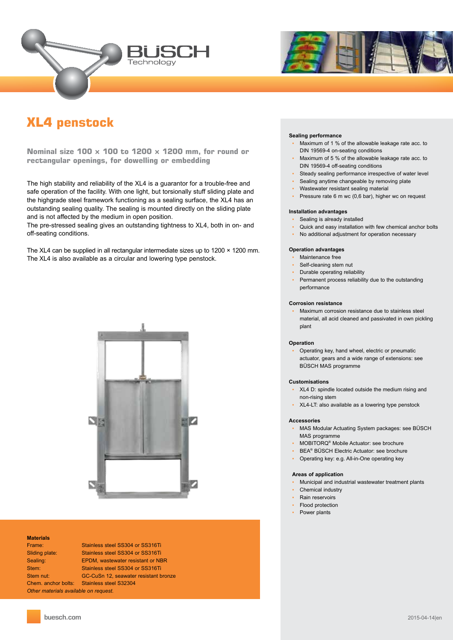



# **XL4 penstock**

**Nominal size 100 × 100 to 1200 × 1200 mm, for round or rectangular openings, for dowelling or embedding**

The high stability and reliability of the XL4 is a guarantor for a trouble-free and safe operation of the facility. With one light, but torsionally stuff sliding plate and the highgrade steel framework functioning as a sealing surface, the XL4 has an outstanding sealing quality. The sealing is mounted directly on the sliding plate and is not affected by the medium in open position.

The pre-stressed sealing gives an outstanding tightness to XL4, both in on- and off-seating conditions.

The XL4 can be supplied in all rectangular intermediate sizes up to 1200  $\times$  1200 mm. The XL4 is also available as a circular and lowering type penstock.



### **Materials**

*Other materials available on request.*

Frame: Stainless steel SS304 or SS316Ti Sliding plate: Stainless steel SS304 or SS316Ti Sealing: EPDM, wastewater resistant or NBR Stem: Stainless steel SS304 or SS316Ti Stem nut: GC-CuSn 12, seawater resistant bronze Chem. anchor bolts: Stainless steel S32304

#### **Sealing performance**

- Maximum of 1 % of the allowable leakage rate acc. to DIN 19569-4 on-seating conditions
- Maximum of 5 % of the allowable leakage rate acc. to DIN 19569-4 off-seating conditions
- Steady sealing performance irrespective of water level
- **•** Sealing anytime changeable by removing plate
- Wastewater resistant sealing material
- Pressure rate 6 m wc (0,6 bar), higher wc on request

### **Installation advantages**

- Sealing is already installed
- Quick and easy installation with few chemical anchor bolts
- No additional adjustment for operation necessary

#### **Operation advantages**

- Maintenance free
- Self-cleaning stem nut
- **Durable operating reliability**
- Permanent process reliability due to the outstanding performance

#### **Corrosion resistance**

Maximum corrosion resistance due to stainless steel material, all acid cleaned and passivated in own pickling plant

#### **Operation**

Operating key, hand wheel, electric or pneumatic actuator, gears and a wide range of extensions: see BÜSCH MAS programme

#### **Customisations**

- ▪ XL4 D: spindle located outside the medium rising and non-rising stem
- ▪ XL4-LT: also available as a lowering type penstock

#### **Accessories**

- MAS Modular Actuating System packages: see BÜSCH MAS programme
- MOBITORQ<sup>®</sup> Mobile Actuator: see brochure
- **·** BEA<sup>®</sup> BÜSCH Electric Actuator: see brochure
- Operating key: e.g. All-in-One operating key

#### **Areas of application**

- Municipal and industrial wastewater treatment plants
- ▪ Chemical industry
- Rain reservoirs
- Flood protection
- ▪ Power plants